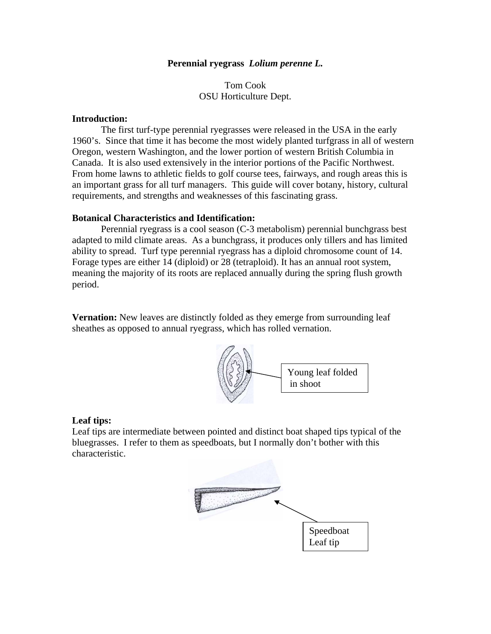## **Perennial ryegrass** *Lolium perenne L.*

## Tom Cook OSU Horticulture Dept.

## **Introduction:**

 The first turf-type perennial ryegrasses were released in the USA in the early 1960's. Since that time it has become the most widely planted turfgrass in all of western Oregon, western Washington, and the lower portion of western British Columbia in Canada. It is also used extensively in the interior portions of the Pacific Northwest. From home lawns to athletic fields to golf course tees, fairways, and rough areas this is an important grass for all turf managers. This guide will cover botany, history, cultural requirements, and strengths and weaknesses of this fascinating grass.

## **Botanical Characteristics and Identification:**

 Perennial ryegrass is a cool season (C-3 metabolism) perennial bunchgrass best adapted to mild climate areas. As a bunchgrass, it produces only tillers and has limited ability to spread. Turf type perennial ryegrass has a diploid chromosome count of 14. Forage types are either 14 (diploid) or 28 (tetraploid). It has an annual root system, meaning the majority of its roots are replaced annually during the spring flush growth period.

**Vernation:** New leaves are distinctly folded as they emerge from surrounding leaf sheathes as opposed to annual ryegrass, which has rolled vernation.



## **Leaf tips:**

Leaf tips are intermediate between pointed and distinct boat shaped tips typical of the bluegrasses. I refer to them as speedboats, but I normally don't bother with this characteristic.

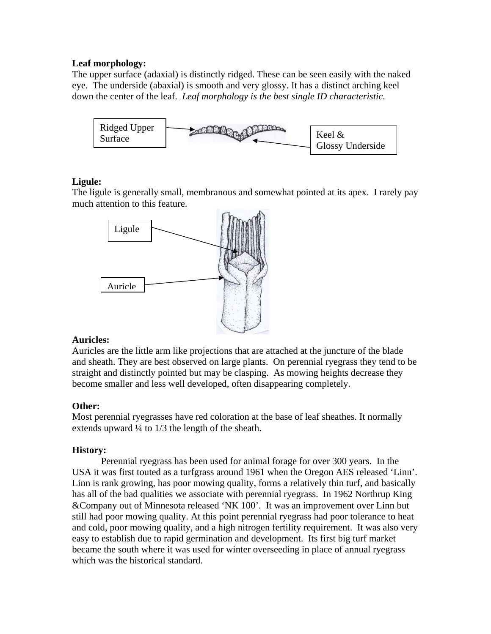# **Leaf morphology:**

The upper surface (adaxial) is distinctly ridged. These can be seen easily with the naked eye. The underside (abaxial) is smooth and very glossy. It has a distinct arching keel down the center of the leaf. *Leaf morphology is the best single ID characteristic.* 



# **Ligule:**

The ligule is generally small, membranous and somewhat pointed at its apex. I rarely pay much attention to this feature.



# **Auricles:**

Auricles are the little arm like projections that are attached at the juncture of the blade and sheath. They are best observed on large plants. On perennial ryegrass they tend to be straight and distinctly pointed but may be clasping. As mowing heights decrease they become smaller and less well developed, often disappearing completely.

# **Other:**

Most perennial ryegrasses have red coloration at the base of leaf sheathes. It normally extends upward  $\frac{1}{4}$  to  $\frac{1}{3}$  the length of the sheath.

# **History:**

Perennial ryegrass has been used for animal forage for over 300 years. In the USA it was first touted as a turfgrass around 1961 when the Oregon AES released 'Linn'. Linn is rank growing, has poor mowing quality, forms a relatively thin turf, and basically has all of the bad qualities we associate with perennial ryegrass. In 1962 Northrup King &Company out of Minnesota released 'NK 100'. It was an improvement over Linn but still had poor mowing quality. At this point perennial ryegrass had poor tolerance to heat and cold, poor mowing quality, and a high nitrogen fertility requirement. It was also very easy to establish due to rapid germination and development. Its first big turf market became the south where it was used for winter overseeding in place of annual ryegrass which was the historical standard.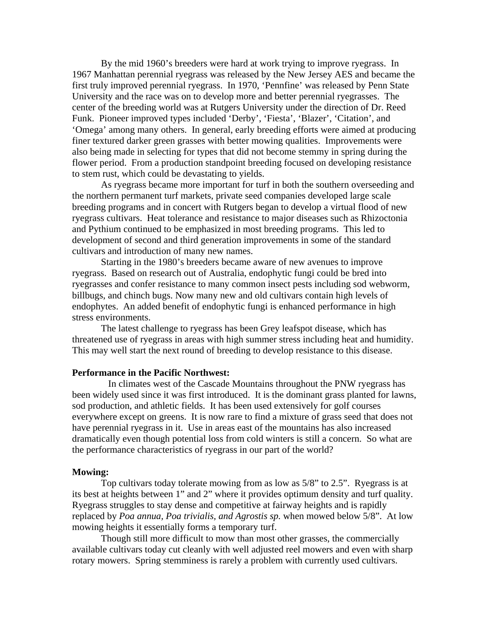By the mid 1960's breeders were hard at work trying to improve ryegrass. In 1967 Manhattan perennial ryegrass was released by the New Jersey AES and became the first truly improved perennial ryegrass. In 1970, 'Pennfine' was released by Penn State University and the race was on to develop more and better perennial ryegrasses. The center of the breeding world was at Rutgers University under the direction of Dr. Reed Funk. Pioneer improved types included 'Derby', 'Fiesta', 'Blazer', 'Citation', and 'Omega' among many others. In general, early breeding efforts were aimed at producing finer textured darker green grasses with better mowing qualities. Improvements were also being made in selecting for types that did not become stemmy in spring during the flower period. From a production standpoint breeding focused on developing resistance to stem rust, which could be devastating to yields.

 As ryegrass became more important for turf in both the southern overseeding and the northern permanent turf markets, private seed companies developed large scale breeding programs and in concert with Rutgers began to develop a virtual flood of new ryegrass cultivars. Heat tolerance and resistance to major diseases such as Rhizoctonia and Pythium continued to be emphasized in most breeding programs. This led to development of second and third generation improvements in some of the standard cultivars and introduction of many new names.

 Starting in the 1980's breeders became aware of new avenues to improve ryegrass. Based on research out of Australia, endophytic fungi could be bred into ryegrasses and confer resistance to many common insect pests including sod webworm, billbugs, and chinch bugs. Now many new and old cultivars contain high levels of endophytes. An added benefit of endophytic fungi is enhanced performance in high stress environments.

 The latest challenge to ryegrass has been Grey leafspot disease, which has threatened use of ryegrass in areas with high summer stress including heat and humidity. This may well start the next round of breeding to develop resistance to this disease.

#### **Performance in the Pacific Northwest:**

 In climates west of the Cascade Mountains throughout the PNW ryegrass has been widely used since it was first introduced. It is the dominant grass planted for lawns, sod production, and athletic fields. It has been used extensively for golf courses everywhere except on greens. It is now rare to find a mixture of grass seed that does not have perennial ryegrass in it. Use in areas east of the mountains has also increased dramatically even though potential loss from cold winters is still a concern. So what are the performance characteristics of ryegrass in our part of the world?

#### **Mowing:**

Top cultivars today tolerate mowing from as low as 5/8" to 2.5". Ryegrass is at its best at heights between 1" and 2" where it provides optimum density and turf quality. Ryegrass struggles to stay dense and competitive at fairway heights and is rapidly replaced by *Poa annua, Poa trivialis, and Agrostis sp.* when mowed below 5/8". At low mowing heights it essentially forms a temporary turf.

Though still more difficult to mow than most other grasses, the commercially available cultivars today cut cleanly with well adjusted reel mowers and even with sharp rotary mowers. Spring stemminess is rarely a problem with currently used cultivars.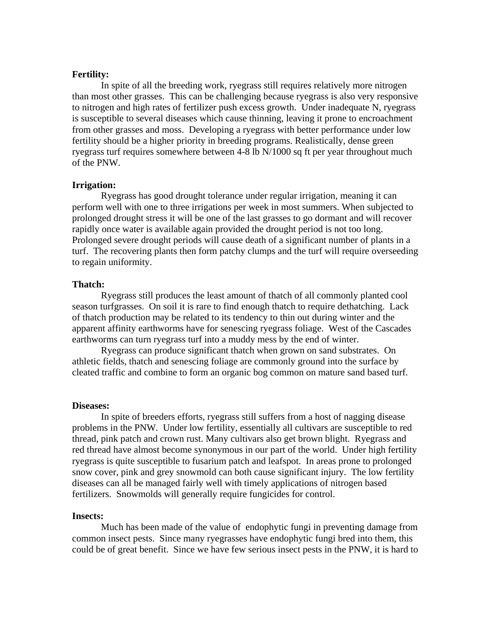## **Fertility:**

In spite of all the breeding work, ryegrass still requires relatively more nitrogen than most other grasses. This can be challenging because ryegrass is also very responsive to nitrogen and high rates of fertilizer push excess growth. Under inadequate N, ryegrass is susceptible to several diseases which cause thinning, leaving it prone to encroachment from other grasses and moss. Developing a ryegrass with better performance under low fertility should be a higher priority in breeding programs. Realistically, dense green ryegrass turf requires somewhere between 4-8 lb N/1000 sq ft per year throughout much of the PNW.

## **Irrigation:**

Ryegrass has good drought tolerance under regular irrigation, meaning it can perform well with one to three irrigations per week in most summers. When subjected to prolonged drought stress it will be one of the last grasses to go dormant and will recover rapidly once water is available again provided the drought period is not too long. Prolonged severe drought periods will cause death of a significant number of plants in a turf. The recovering plants then form patchy clumps and the turf will require overseeding to regain uniformity.

#### **Thatch:**

Ryegrass still produces the least amount of thatch of all commonly planted cool season turfgrasses. On soil it is rare to find enough thatch to require dethatching. Lack of thatch production may be related to its tendency to thin out during winter and the apparent affinity earthworms have for senescing ryegrass foliage. West of the Cascades earthworms can turn ryegrass turf into a muddy mess by the end of winter.

Ryegrass can produce significant thatch when grown on sand substrates. On athletic fields, thatch and senescing foliage are commonly ground into the surface by cleated traffic and combine to form an organic bog common on mature sand based turf.

#### **Diseases:**

In spite of breeders efforts, ryegrass still suffers from a host of nagging disease problems in the PNW. Under low fertility, essentially all cultivars are susceptible to red thread, pink patch and crown rust. Many cultivars also get brown blight. Ryegrass and red thread have almost become synonymous in our part of the world. Under high fertility ryegrass is quite susceptible to fusarium patch and leafspot. In areas prone to prolonged snow cover, pink and grey snowmold can both cause significant injury. The low fertility diseases can all be managed fairly well with timely applications of nitrogen based fertilizers. Snowmolds will generally require fungicides for control.

#### **Insects:**

Much has been made of the value of endophytic fungi in preventing damage from common insect pests. Since many ryegrasses have endophytic fungi bred into them, this could be of great benefit. Since we have few serious insect pests in the PNW, it is hard to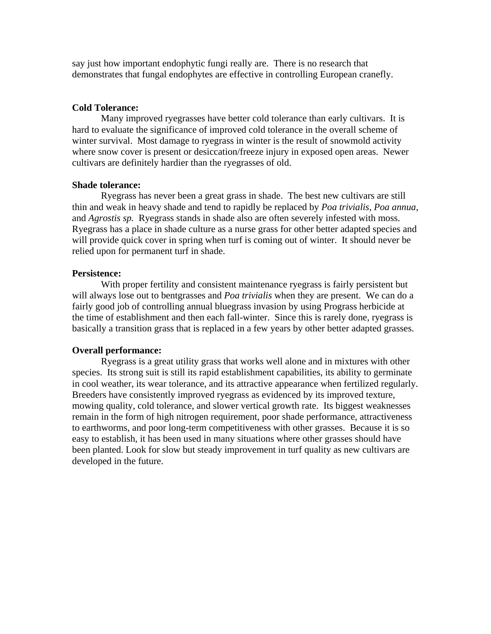say just how important endophytic fungi really are. There is no research that demonstrates that fungal endophytes are effective in controlling European cranefly.

#### **Cold Tolerance:**

 Many improved ryegrasses have better cold tolerance than early cultivars. It is hard to evaluate the significance of improved cold tolerance in the overall scheme of winter survival. Most damage to ryegrass in winter is the result of snowmold activity where snow cover is present or desiccation/freeze injury in exposed open areas. Newer cultivars are definitely hardier than the ryegrasses of old.

## **Shade tolerance:**

 Ryegrass has never been a great grass in shade. The best new cultivars are still thin and weak in heavy shade and tend to rapidly be replaced by *Poa trivialis, Poa annua,*  and *Agrostis sp.* Ryegrass stands in shade also are often severely infested with moss. Ryegrass has a place in shade culture as a nurse grass for other better adapted species and will provide quick cover in spring when turf is coming out of winter. It should never be relied upon for permanent turf in shade.

#### **Persistence:**

 With proper fertility and consistent maintenance ryegrass is fairly persistent but will always lose out to bentgrasses and *Poa trivialis* when they are present. We can do a fairly good job of controlling annual bluegrass invasion by using Prograss herbicide at the time of establishment and then each fall-winter. Since this is rarely done, ryegrass is basically a transition grass that is replaced in a few years by other better adapted grasses.

#### **Overall performance:**

 Ryegrass is a great utility grass that works well alone and in mixtures with other species. Its strong suit is still its rapid establishment capabilities, its ability to germinate in cool weather, its wear tolerance, and its attractive appearance when fertilized regularly. Breeders have consistently improved ryegrass as evidenced by its improved texture, mowing quality, cold tolerance, and slower vertical growth rate. Its biggest weaknesses remain in the form of high nitrogen requirement, poor shade performance, attractiveness to earthworms, and poor long-term competitiveness with other grasses. Because it is so easy to establish, it has been used in many situations where other grasses should have been planted. Look for slow but steady improvement in turf quality as new cultivars are developed in the future.